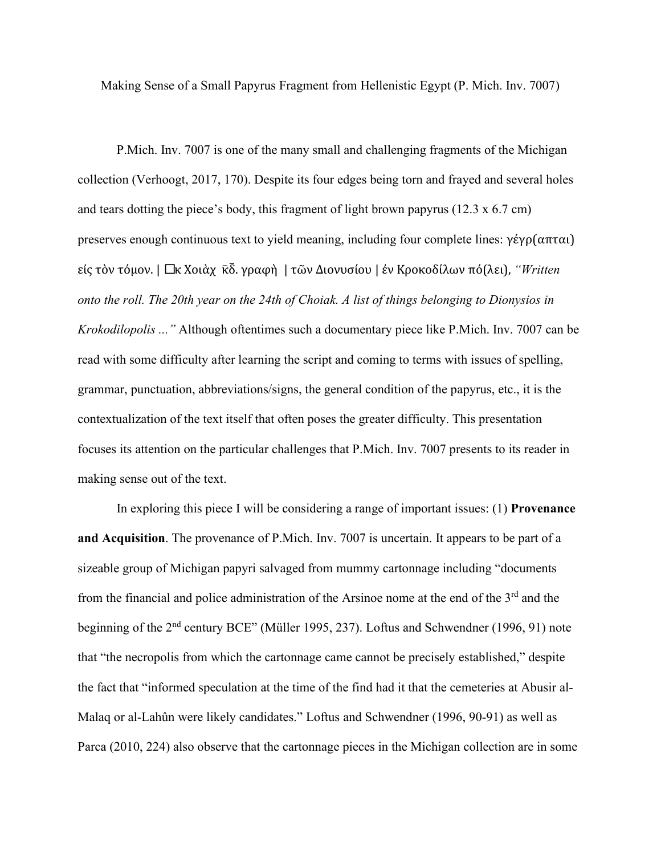Making Sense of a Small Papyrus Fragment from Hellenistic Egypt (P. Mich. Inv. 7007)

P.Mich. Inv. 7007 is one of the many small and challenging fragments of the Michigan collection (Verhoogt, 2017, 170). Despite its four edges being torn and frayed and several holes and tears dotting the piece's body, this fragment of light brown papyrus (12.3 x 6.7 cm) preserves enough continuous text to yield meaning, including four complete lines: γέγρ(απται) είς τὸν τόμον. | Πκ Χοιὰχ κ៑δ. γραφὴ | τῶν Διονυσίου | ἐν Κροκοδίλων πό(λει), *"Written onto the roll. The 20th year on the 24th of Choiak. A list of things belonging to Dionysios in Krokodilopolis ..."* Although oftentimes such a documentary piece like P.Mich. Inv. 7007 can be read with some difficulty after learning the script and coming to terms with issues of spelling, grammar, punctuation, abbreviations/signs, the general condition of the papyrus, etc., it is the contextualization of the text itself that often poses the greater difficulty. This presentation focuses its attention on the particular challenges that P.Mich. Inv. 7007 presents to its reader in making sense out of the text.

In exploring this piece I will be considering a range of important issues: (1) **Provenance and Acquisition**. The provenance of P.Mich. Inv. 7007 is uncertain. It appears to be part of a sizeable group of Michigan papyri salvaged from mummy cartonnage including "documents from the financial and police administration of the Arsinoe nome at the end of the 3<sup>rd</sup> and the beginning of the 2<sup>nd</sup> century BCE" (Müller 1995, 237). Loftus and Schwendner (1996, 91) note that "the necropolis from which the cartonnage came cannot be precisely established," despite the fact that "informed speculation at the time of the find had it that the cemeteries at Abusir al-Malaq or al-Lahûn were likely candidates." Loftus and Schwendner (1996, 90-91) as well as Parca (2010, 224) also observe that the cartonnage pieces in the Michigan collection are in some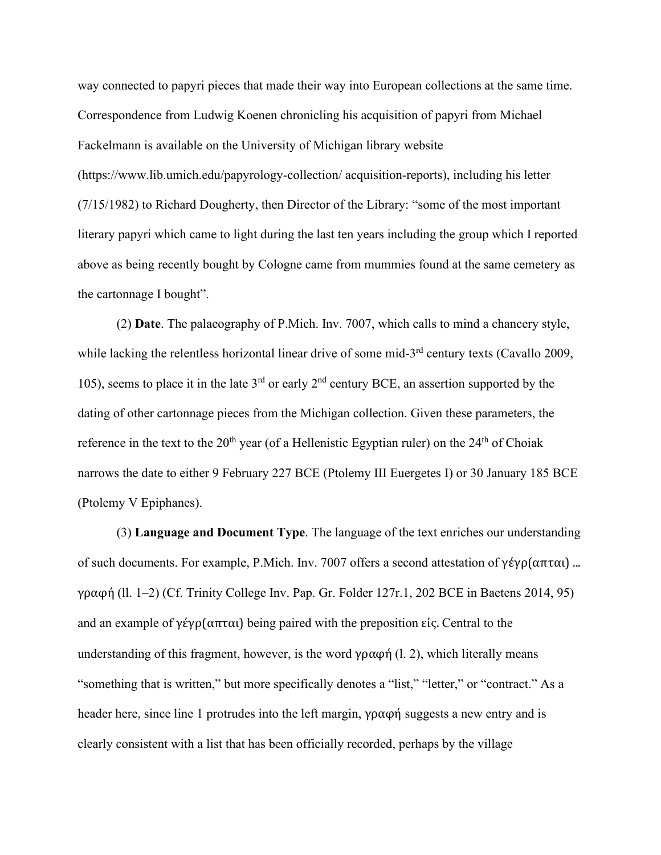way connected to papyri pieces that made their way into European collections at the same time. Correspondence from Ludwig Koenen chronicling his acquisition of papyri from Michael Fackelmann is available on the University of Michigan library website (https://www.lib.umich.edu/papyrology-collection/ acquisition-reports), including his letter (7/15/1982) to Richard Dougherty, then Director of the Library: "some of the most important literary papyri which came to light during the last ten years including the group which I reported above as being recently bought by Cologne came from mummies found at the same cemetery as the cartonnage I bought".

(2) **Date**. The palaeography of P.Mich. Inv. 7007, which calls to mind a chancery style, while lacking the relentless horizontal linear drive of some mid-3<sup>rd</sup> century texts (Cavallo 2009, 105), seems to place it in the late  $3<sup>rd</sup>$  or early  $2<sup>nd</sup>$  century BCE, an assertion supported by the dating of other cartonnage pieces from the Michigan collection. Given these parameters, the reference in the text to the  $20<sup>th</sup>$  year (of a Hellenistic Egyptian ruler) on the  $24<sup>th</sup>$  of Choiak narrows the date to either 9 February 227 BCE (Ptolemy III Euergetes I) or 30 January 185 BCE (Ptolemy V Epiphanes).

(3) **Language and Document Type**. The language of the text enriches our understanding of such documents. For example, P.Mich. Inv. 7007 offers a second attestation of γέγρ(απται) ... γραφη� (ll. 1–2) (Cf. Trinity College Inv. Pap. Gr. Folder 127r.1, 202 BCE in Baetens 2014, 95) and an example of  $\gamma \epsilon \gamma \rho (\alpha \pi \tau \alpha)$  being paired with the preposition είς. Central to the understanding of this fragment, however, is the word γραφή (l. 2), which literally means "something that is written," but more specifically denotes a "list," "letter," or "contract." As a header here, since line 1 protrudes into the left margin,  $\gamma \rho \alpha \phi \gamma$  suggests a new entry and is clearly consistent with a list that has been officially recorded, perhaps by the village